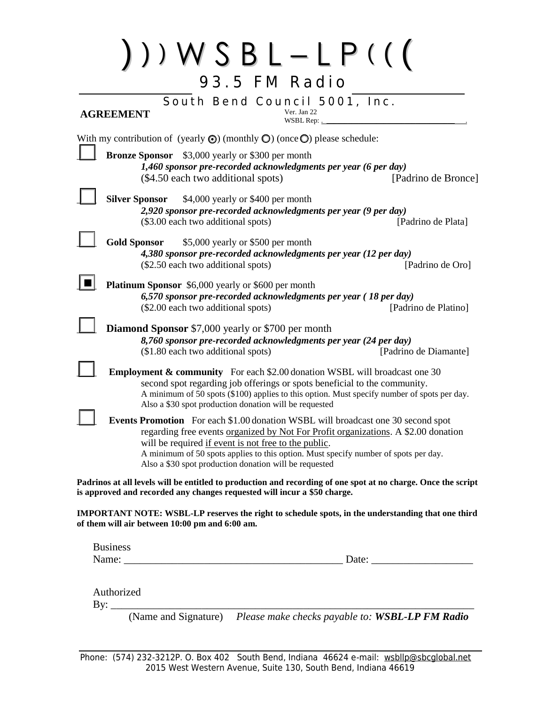|                       |                                                |                                                                                                                | South Bend Council 5001, Inc.<br>Ver. Jan 22                                                                                                                                   |                                                                                                               |
|-----------------------|------------------------------------------------|----------------------------------------------------------------------------------------------------------------|--------------------------------------------------------------------------------------------------------------------------------------------------------------------------------|---------------------------------------------------------------------------------------------------------------|
| <b>AGREEMENT</b>      |                                                |                                                                                                                | WSBL Rep: .                                                                                                                                                                    |                                                                                                               |
|                       |                                                |                                                                                                                | With my contribution of (yearly $\odot$ ) (monthly $\odot$ ) (once $\odot$ ) please schedule:                                                                                  |                                                                                                               |
|                       | <b>Bronze Sponsor</b>                          | \$3,000 yearly or \$300 per month<br>(\$4.50 each two additional spots)                                        | 1,460 sponsor pre-recorded acknowledgments per year (6 per day)                                                                                                                | [Padrino de Bronce]                                                                                           |
| <b>Silver Sponsor</b> |                                                | \$4,000 yearly or \$400 per month<br>(\$3.00 each two additional spots)                                        | 2,920 sponsor pre-recorded acknowledgments per year (9 per day)                                                                                                                | [Padrino de Plata]                                                                                            |
| <b>Gold Sponsor</b>   |                                                | \$5,000 yearly or \$500 per month<br>(\$2.50 each two additional spots)                                        | 4,380 sponsor pre-recorded acknowledgments per year (12 per day)                                                                                                               | [Padrino de Oro]                                                                                              |
|                       |                                                | <b>Platinum Sponsor</b> \$6,000 yearly or \$600 per month<br>(\$2.00 each two additional spots)                | 6,570 sponsor pre-recorded acknowledgments per year (18 per day)                                                                                                               | [Padrino de Platino]                                                                                          |
|                       |                                                | <b>Diamond Sponsor</b> \$7,000 yearly or \$700 per month<br>(\$1.80 each two additional spots)                 | 8,760 sponsor pre-recorded acknowledgments per year (24 per day)                                                                                                               | [Padrino de Diamante]                                                                                         |
|                       |                                                | Also a \$30 spot production donation will be requested                                                         | <b>Employment &amp; community</b> For each \$2.00 donation WSBL will broadcast one 30<br>second spot regarding job offerings or spots beneficial to the community.             | A minimum of 50 spots (\$100) applies to this option. Must specify number of spots per day.                   |
|                       |                                                | will be required if event is not free to the public.<br>Also a \$30 spot production donation will be requested | <b>Events Promotion</b> For each \$1.00 donation WSBL will broadcast one 30 second spot<br>A minimum of 50 spots applies to this option. Must specify number of spots per day. | regarding free events <u>organized by Not For Profit organizations</u> . A \$2.00 donation                    |
|                       |                                                | is approved and recorded any changes requested will incur a \$50 charge.                                       |                                                                                                                                                                                | Padrinos at all levels will be entitled to production and recording of one spot at no charge. Once the script |
|                       | of them will air between 10:00 pm and 6:00 am. |                                                                                                                |                                                                                                                                                                                | <b>IMPORTANT NOTE: WSBL-LP reserves the right to schedule spots, in the understanding that one third</b>      |
| <b>Business</b>       |                                                |                                                                                                                |                                                                                                                                                                                |                                                                                                               |

(Name and Signature) *Please make checks payable to: WSBL-LP FM Radio*